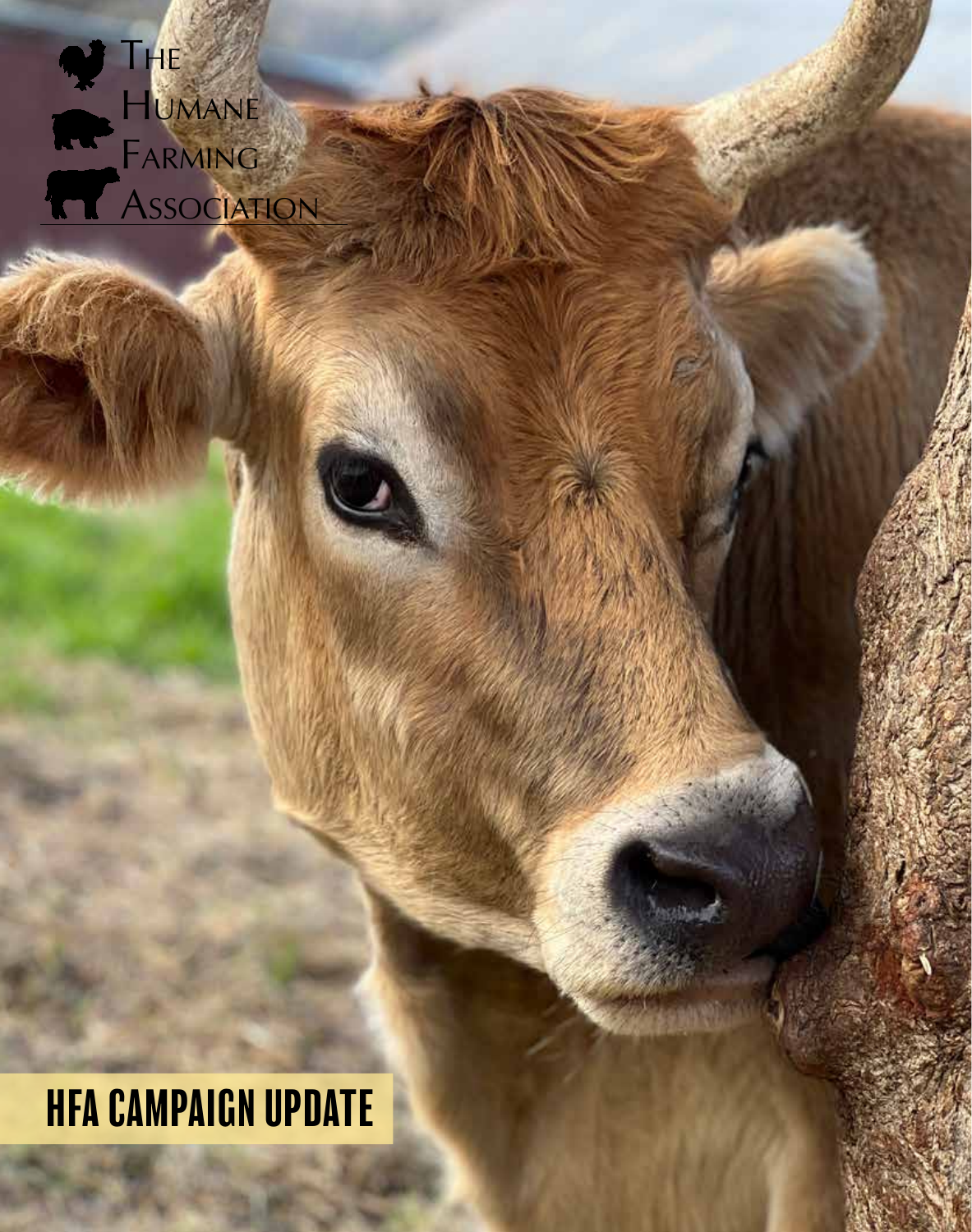

# HFA CAMPAIGN UPDATE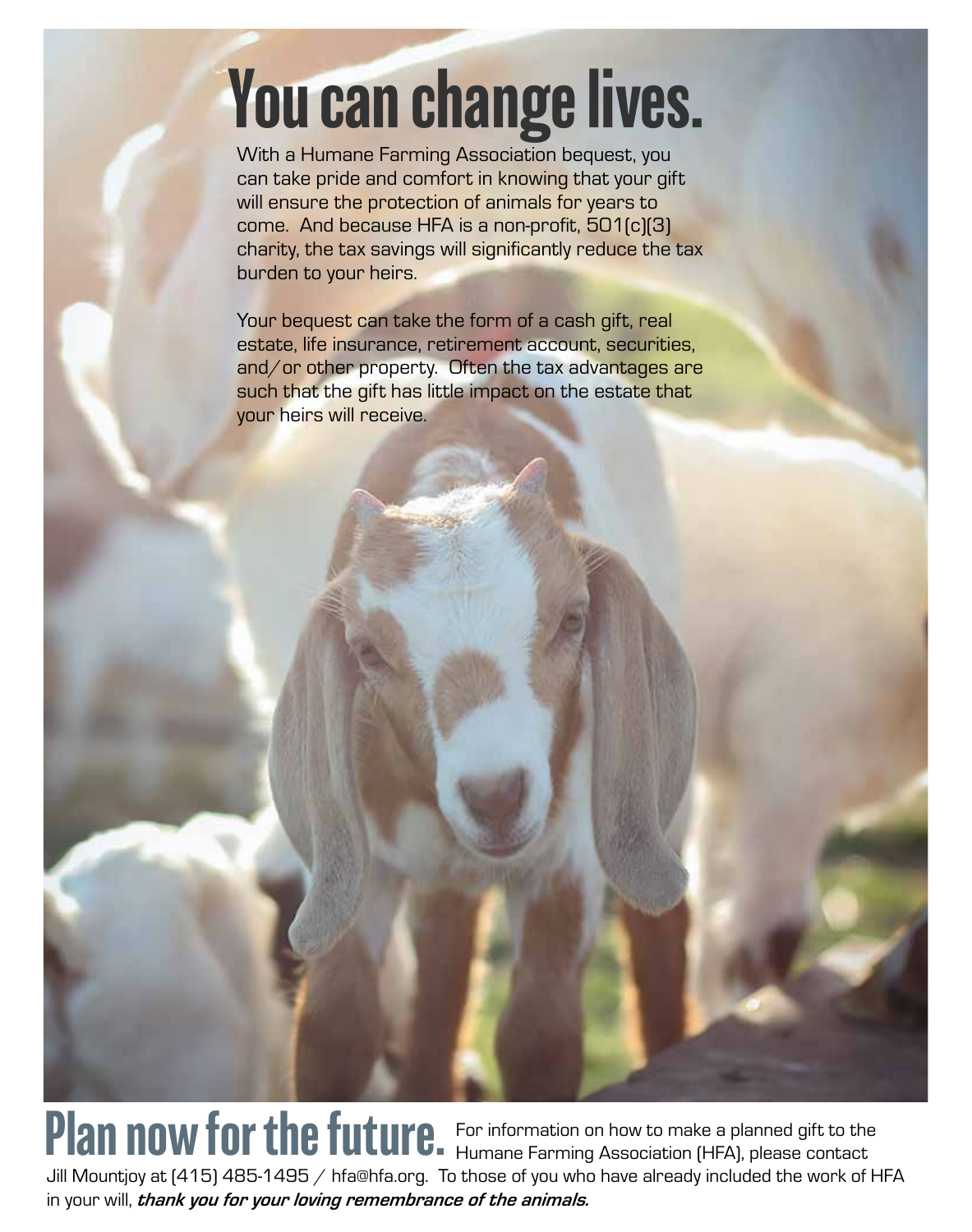# You can change lives.

With a Humane Farming Association bequest, you can take pride and comfort in knowing that your gift will ensure the protection of animals for years to come. And because HFA is a non-profit, 501(c)(3) charity, the tax savings will significantly reduce the tax burden to your heirs.

Your bequest can take the form of a cash gift, real estate, life insurance, retirement account, securities, and/or other property. Often the tax advantages are such that the gift has little impact on the estate that your heirs will receive.

For information on how to make a planned gift to the Plan now for the future. For information on how to make a planned gift to the Jill Mountjoy at (415) 485-1495 / hfa@hfa.org. To those of you who have already included the work of HFA in your will, *thank you for your loving remembrance of the animals.*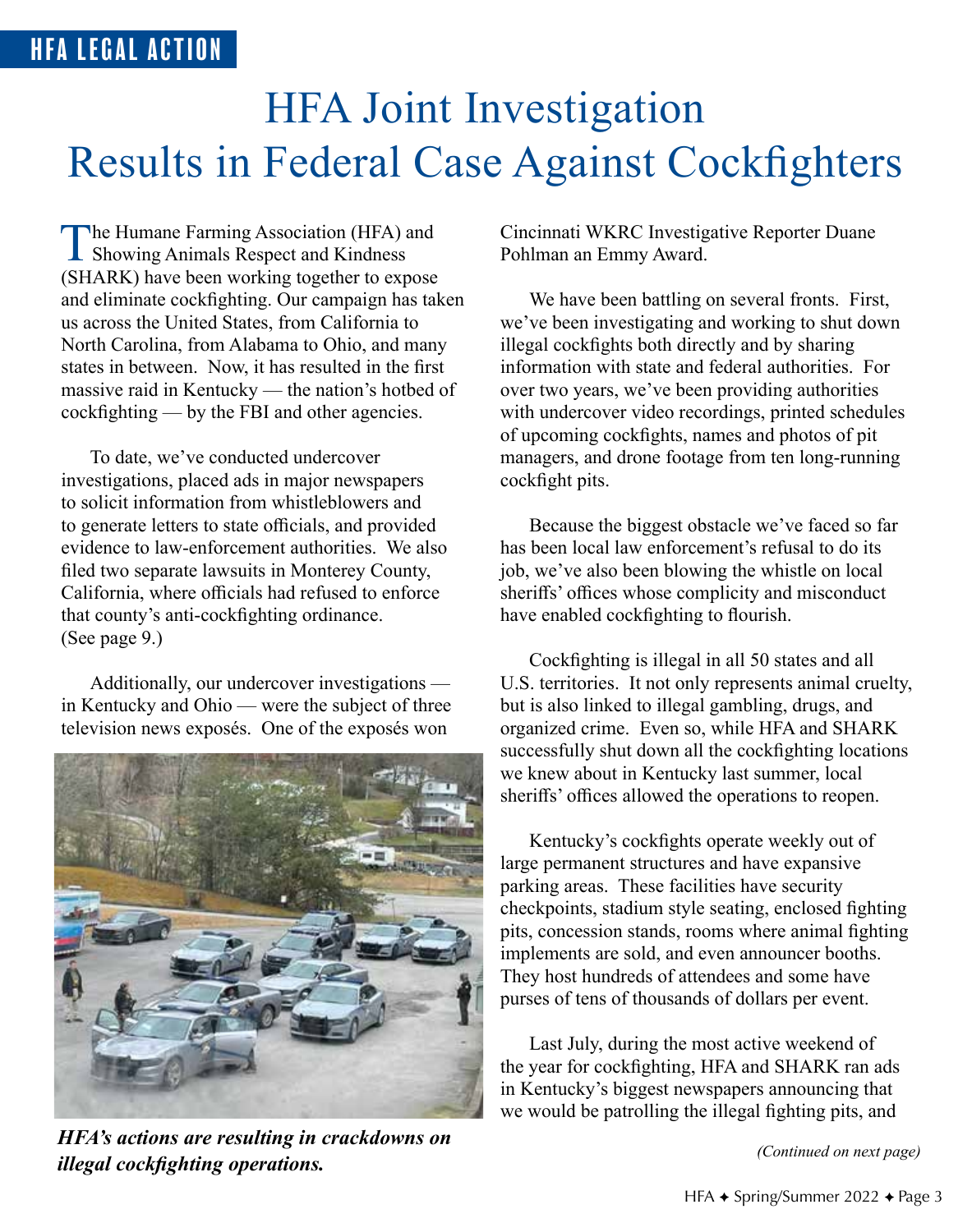# HFA Joint Investigation Results in Federal Case Against Cockfighters

The Humane Farming Association (HFA) and<br>Showing Animals Respect and Kindness (SHARK) have been working together to expose and eliminate cockfighting. Our campaign has taken us across the United States, from California to North Carolina, from Alabama to Ohio, and many states in between. Now, it has resulted in the first massive raid in Kentucky — the nation's hotbed of cockfighting — by the FBI and other agencies.

To date, we've conducted undercover investigations, placed ads in major newspapers to solicit information from whistleblowers and to generate letters to state officials, and provided evidence to law-enforcement authorities. We also filed two separate lawsuits in Monterey County, California, where officials had refused to enforce that county's anti-cockfighting ordinance. (See page 9.)

Additionally, our undercover investigations in Kentucky and Ohio — were the subject of three television news exposés. One of the exposés won



*(Continued on next page) HFA's actions are resulting in crackdowns on illegal cockfighting operations.*

Cincinnati WKRC Investigative Reporter Duane Pohlman an Emmy Award.

We have been battling on several fronts. First, we've been investigating and working to shut down illegal cockfights both directly and by sharing information with state and federal authorities. For over two years, we've been providing authorities with undercover video recordings, printed schedules of upcoming cockfights, names and photos of pit managers, and drone footage from ten long-running cockfight pits.

Because the biggest obstacle we've faced so far has been local law enforcement's refusal to do its job, we've also been blowing the whistle on local sheriffs' offices whose complicity and misconduct have enabled cockfighting to flourish.

Cockfighting is illegal in all 50 states and all U.S. territories. It not only represents animal cruelty, but is also linked to illegal gambling, drugs, and organized crime. Even so, while HFA and SHARK successfully shut down all the cockfighting locations we knew about in Kentucky last summer, local sheriffs' offices allowed the operations to reopen.

Kentucky's cockfights operate weekly out of large permanent structures and have expansive parking areas. These facilities have security checkpoints, stadium style seating, enclosed fighting pits, concession stands, rooms where animal fighting implements are sold, and even announcer booths. They host hundreds of attendees and some have purses of tens of thousands of dollars per event.

Last July, during the most active weekend of the year for cockfighting, HFA and SHARK ran ads in Kentucky's biggest newspapers announcing that we would be patrolling the illegal fighting pits, and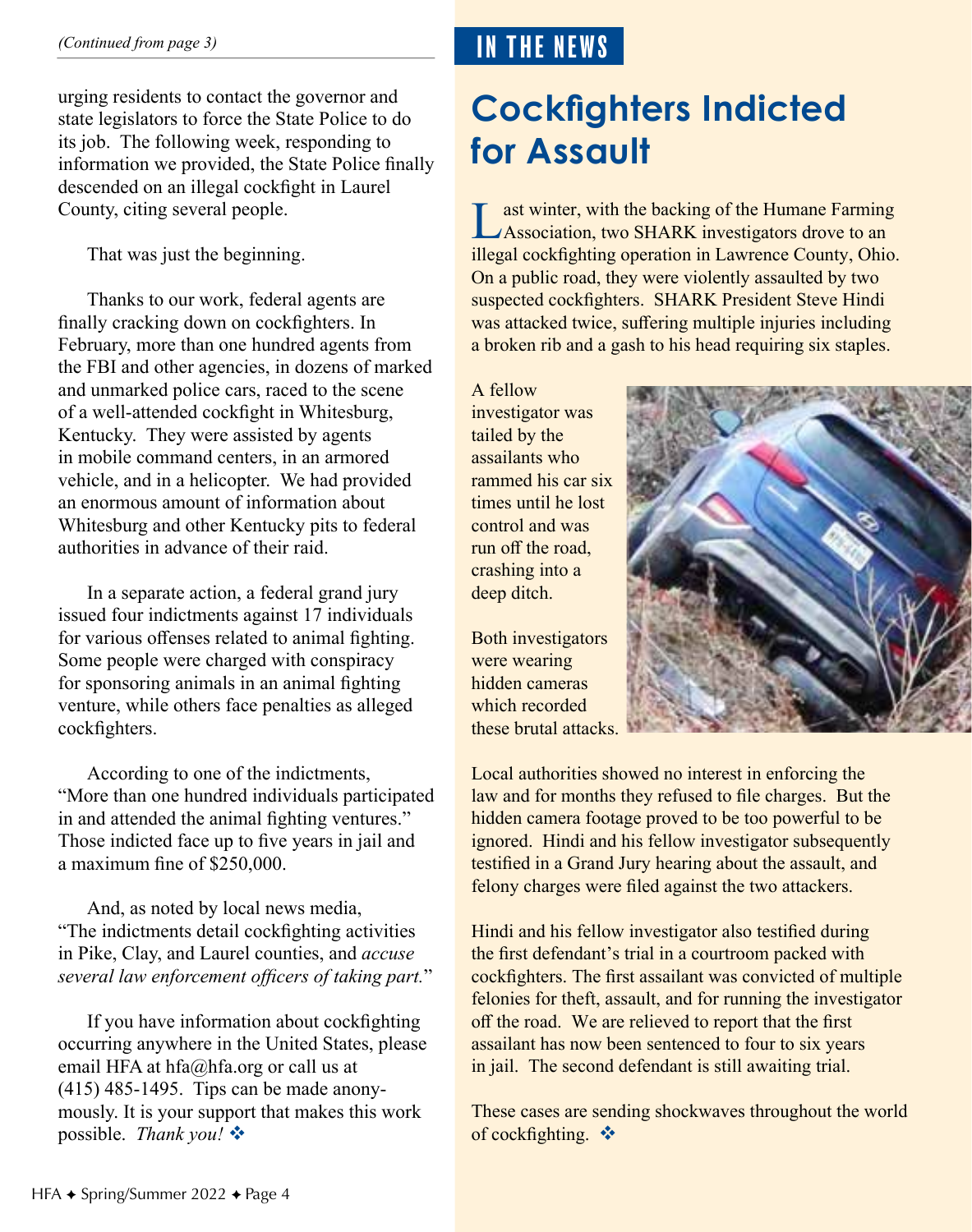urging residents to contact the governor and state legislators to force the State Police to do its job. The following week, responding to information we provided, the State Police finally descended on an illegal cockfight in Laurel County, citing several people.

That was just the beginning.

Thanks to our work, federal agents are finally cracking down on cockfighters. In February, more than one hundred agents from the FBI and other agencies, in dozens of marked and unmarked police cars, raced to the scene of a well-attended cockfight in Whitesburg, Kentucky. They were assisted by agents in mobile command centers, in an armored vehicle, and in a helicopter. We had provided an enormous amount of information about Whitesburg and other Kentucky pits to federal authorities in advance of their raid.

In a separate action, a federal grand jury issued four indictments against 17 individuals for various offenses related to animal fighting. Some people were charged with conspiracy for sponsoring animals in an animal fighting venture, while others face penalties as alleged cockfighters.

According to one of the indictments, "More than one hundred individuals participated in and attended the animal fighting ventures." Those indicted face up to five years in jail and a maximum fine of \$250,000.

And, as noted by local news media, "The indictments detail cockfighting activities in Pike, Clay, and Laurel counties, and *accuse several law enforcement officers of taking part.*"

If you have information about cockfighting occurring anywhere in the United States, please email HFA at hfa@hfa.org or call us at (415) 485-1495. Tips can be made anonymously. It is your support that makes this work possible. *Thank you!* 

## IN THE NEWS

## **Cockfighters Indicted for Assault**

Last winter, with the backing of the Humane Farming<br>Association, two SHARK investigators drove to an illegal cockfighting operation in Lawrence County, Ohio. On a public road, they were violently assaulted by two suspected cockfighters. SHARK President Steve Hindi was attacked twice, suffering multiple injuries including a broken rib and a gash to his head requiring six staples.

A fellow investigator was tailed by the assailants who rammed his car six times until he lost control and was run off the road, crashing into a deep ditch.

Both investigators were wearing hidden cameras which recorded these brutal attacks.



Local authorities showed no interest in enforcing the law and for months they refused to file charges. But the hidden camera footage proved to be too powerful to be ignored. Hindi and his fellow investigator subsequently testified in a Grand Jury hearing about the assault, and felony charges were filed against the two attackers.

Hindi and his fellow investigator also testified during the first defendant's trial in a courtroom packed with cockfighters. The first assailant was convicted of multiple felonies for theft, assault, and for running the investigator off the road. We are relieved to report that the first assailant has now been sentenced to four to six years in jail. The second defendant is still awaiting trial.

These cases are sending shockwaves throughout the world of cockfighting.  $\mathbf{\hat{v}}$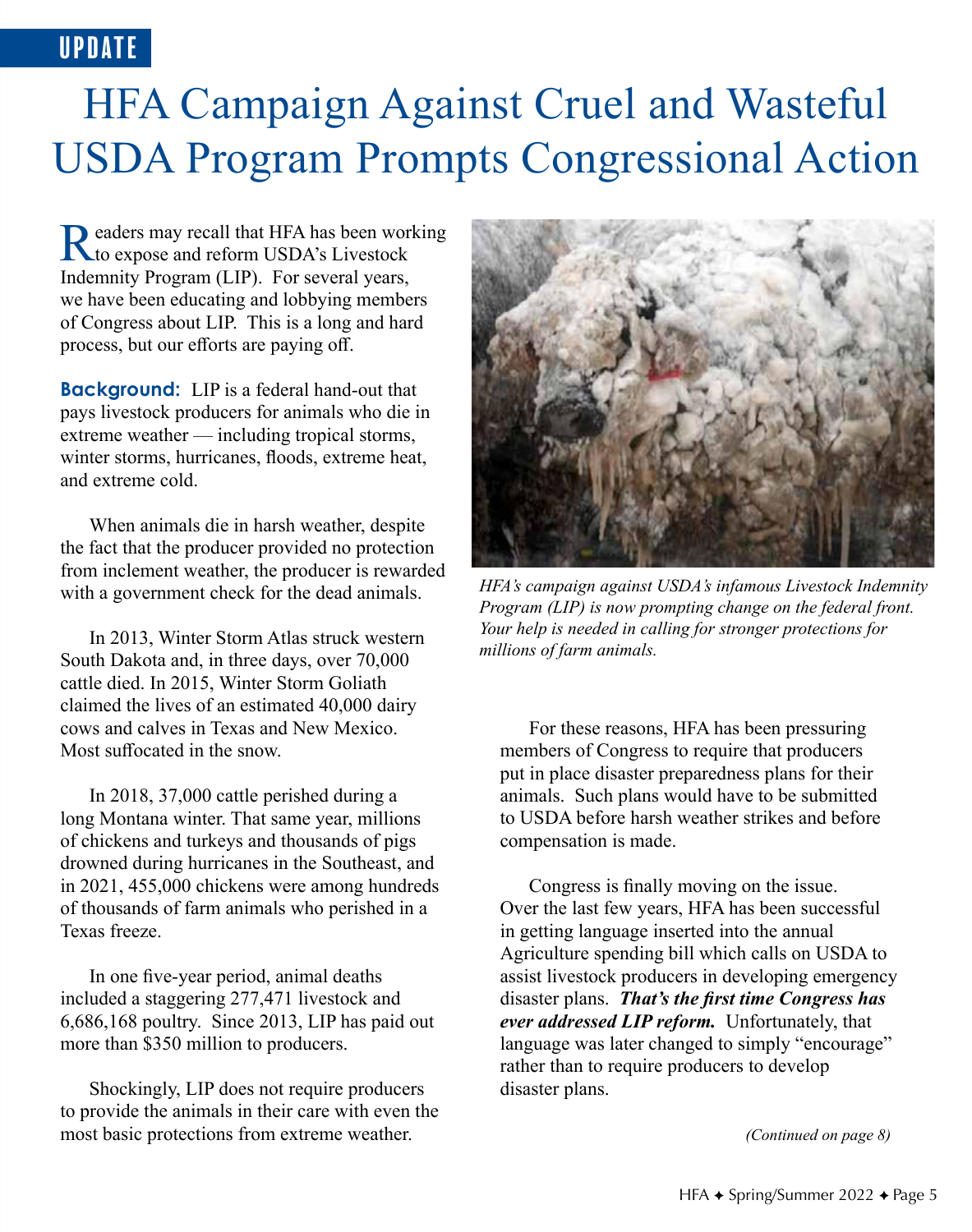## UPDATE

# HFA Campaign Against Cruel and Wasteful USDA Program Prompts Congressional Action

Readers may recall that HFA has been working<br>to expose and reform USDA's Livestock Indemnity Program (LIP). For several years, we have been educating and lobbying members of Congress about LIP. This is a long and hard process, but our efforts are paying off.

**Background:** LIP is a federal hand-out that pays livestock producers for animals who die in extreme weather — including tropical storms, winter storms, hurricanes, floods, extreme heat, and extreme cold.

When animals die in harsh weather, despite the fact that the producer provided no protection from inclement weather, the producer is rewarded with a government check for the dead animals.

In 2013, Winter Storm Atlas struck western South Dakota and, in three days, over 70,000 cattle died. In 2015, Winter Storm Goliath claimed the lives of an estimated 40,000 dairy cows and calves in Texas and New Mexico. Most suffocated in the snow.

In 2018, 37,000 cattle perished during a long Montana winter. That same year, millions of chickens and turkeys and thousands of pigs drowned during hurricanes in the Southeast, and in 2021, 455,000 chickens were among hundreds of thousands of farm animals who perished in a Texas freeze.

In one five-year period, animal deaths included a staggering 277,471 livestock and 6,686,168 poultry. Since 2013, LIP has paid out more than \$350 million to producers.

Shockingly, LIP does not require producers to provide the animals in their care with even the most basic protections from extreme weather.



*HFA's campaign against USDA's infamous Livestock Indemnity Program (LIP) is now prompting change on the federal front. Your help is needed in calling for stronger protections for millions of farm animals.*

For these reasons, HFA has been pressuring members of Congress to require that producers put in place disaster preparedness plans for their animals. Such plans would have to be submitted to USDA before harsh weather strikes and before compensation is made.

Congress is finally moving on the issue. Over the last few years, HFA has been successful in getting language inserted into the annual Agriculture spending bill which calls on USDA to assist livestock producers in developing emergency disaster plans. *That's the first time Congress has ever addressed LIP reform.* Unfortunately, that language was later changed to simply "encourage" rather than to require producers to develop disaster plans.

*(Continued on page 8)*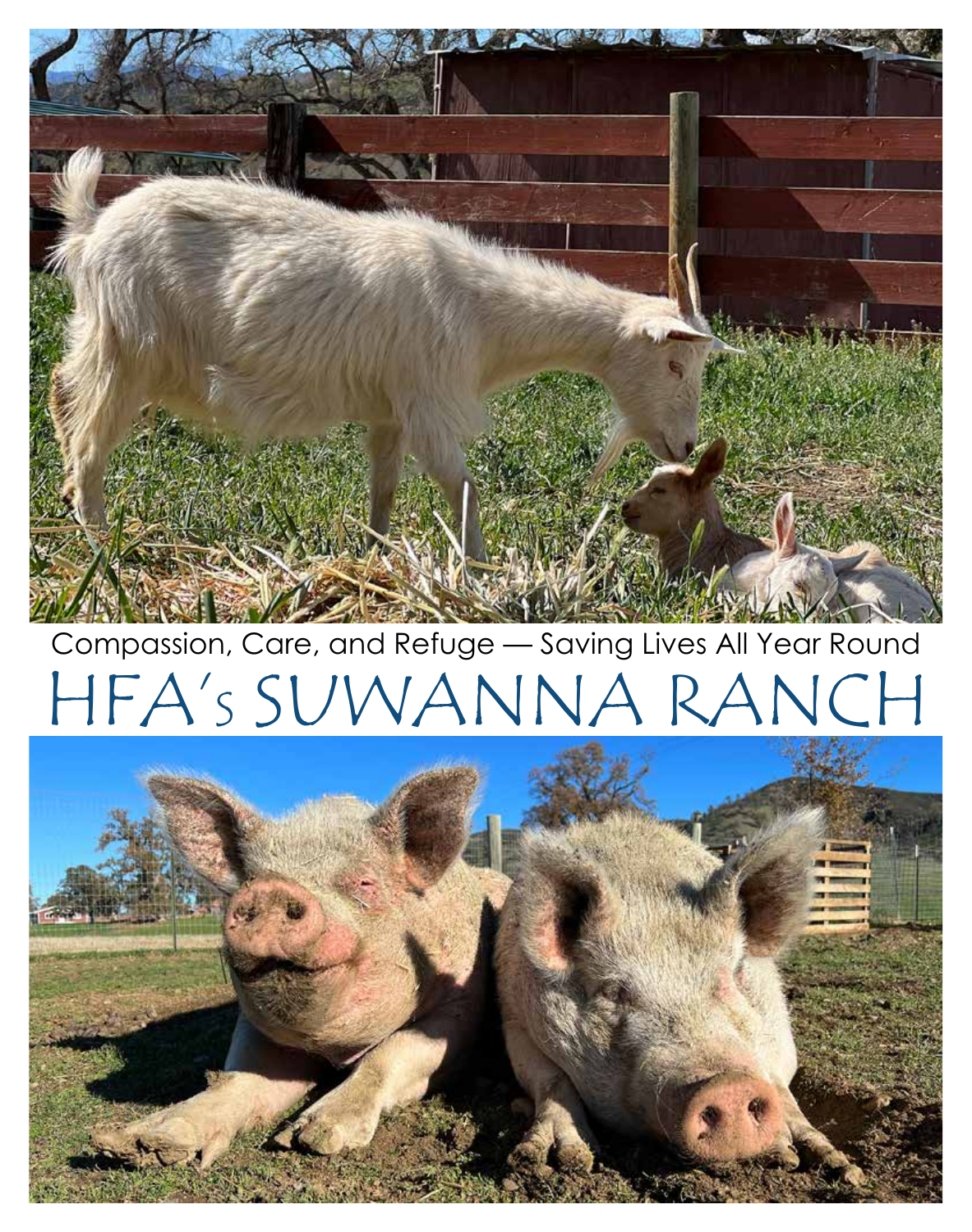# Compassion, Care, and Refuge — Saving Lives All Year Round



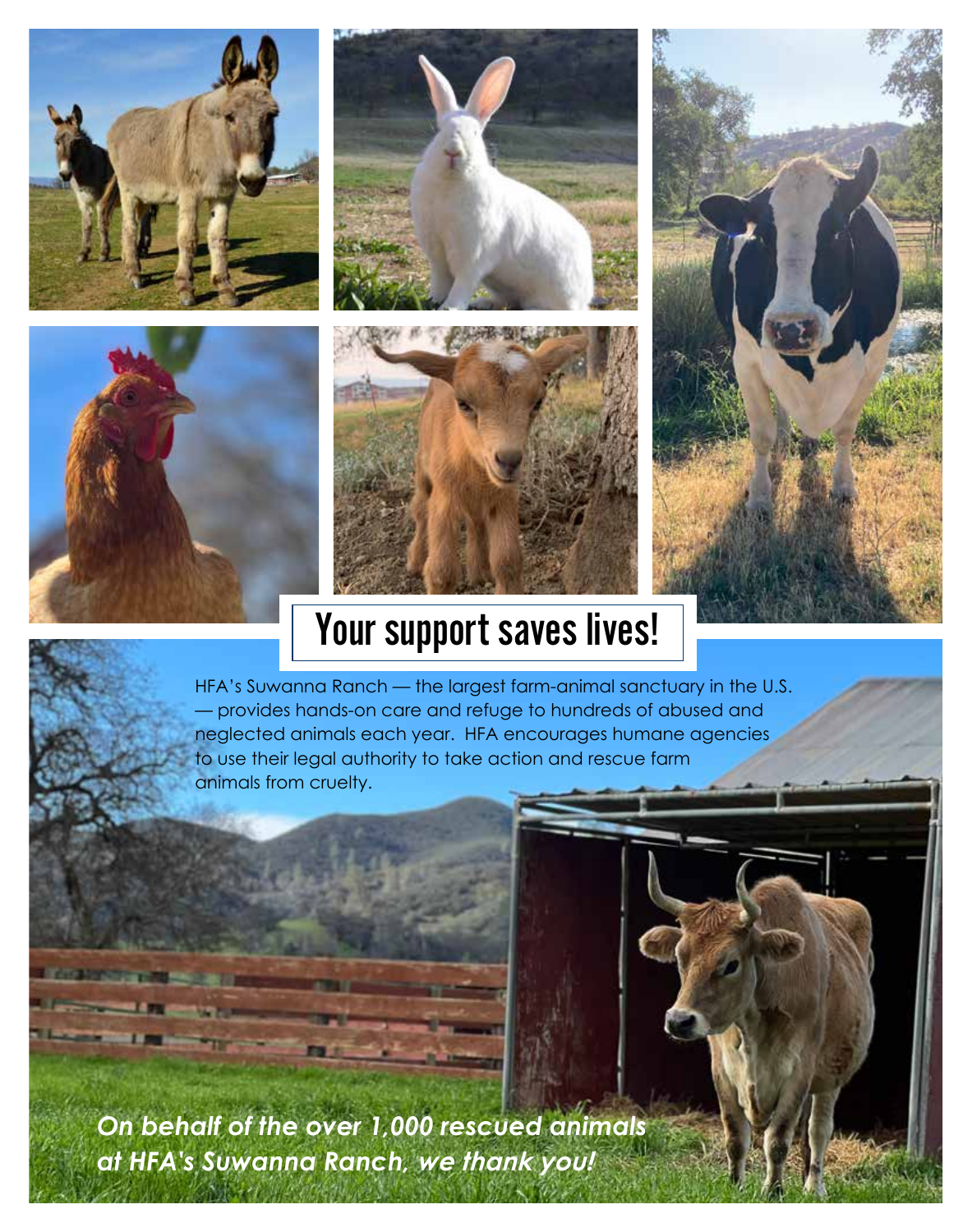







## Your support saves lives!

HFA's Suwanna Ranch — the largest farm-animal sanctuary in the U.S. — provides hands-on care and refuge to hundreds of abused and neglected animals each year. HFA encourages humane agencies to use their legal authority to take action and rescue farm animals from cruelty.

*On behalf of the over 1,000 rescued animals at HFA's Suwanna Ranch, we thank you!*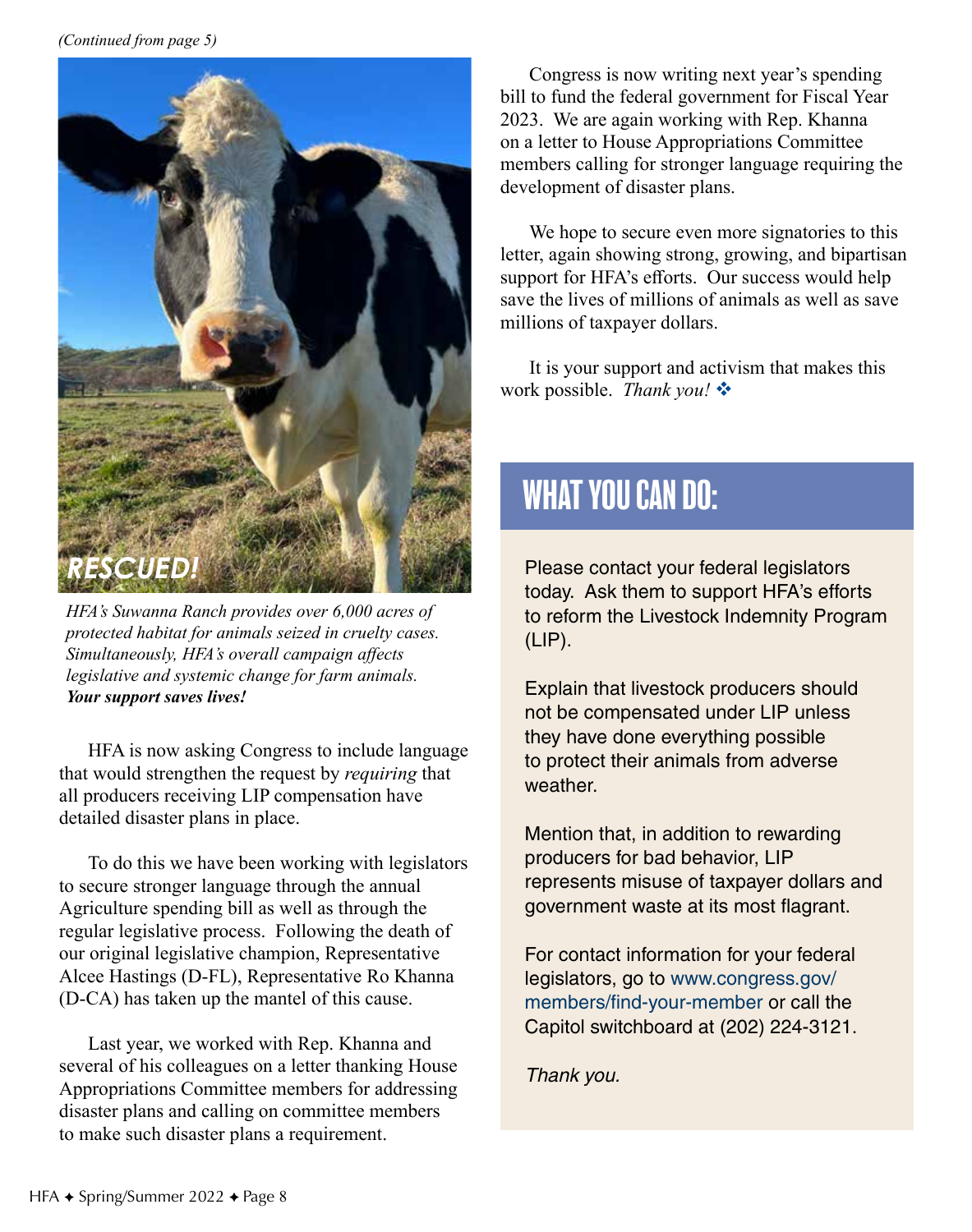

*HFA's Suwanna Ranch provides over 6,000 acres of protected habitat for animals seized in cruelty cases. Simultaneously, HFA's overall campaign affects legislative and systemic change for farm animals. Your support saves lives!*

HFA is now asking Congress to include language that would strengthen the request by *requiring* that all producers receiving LIP compensation have detailed disaster plans in place.

To do this we have been working with legislators to secure stronger language through the annual Agriculture spending bill as well as through the regular legislative process. Following the death of our original legislative champion, Representative Alcee Hastings (D-FL), Representative Ro Khanna (D-CA) has taken up the mantel of this cause.

Last year, we worked with Rep. Khanna and several of his colleagues on a letter thanking House Appropriations Committee members for addressing disaster plans and calling on committee members to make such disaster plans a requirement.

Congress is now writing next year's spending bill to fund the federal government for Fiscal Year 2023. We are again working with Rep. Khanna on a letter to House Appropriations Committee members calling for stronger language requiring the development of disaster plans.

We hope to secure even more signatories to this letter, again showing strong, growing, and bipartisan support for HFA's efforts. Our success would help save the lives of millions of animals as well as save millions of taxpayer dollars.

It is your support and activism that makes this work possible. *Thank you!* 

## WHAT YOU CAN DO:

Please contact your federal legislators today. Ask them to support HFA's efforts to reform the Livestock Indemnity Program (LIP).

Explain that livestock producers should not be compensated under LIP unless they have done everything possible to protect their animals from adverse weather.

Mention that, in addition to rewarding producers for bad behavior, LIP represents misuse of taxpayer dollars and government waste at its most flagrant.

For contact information for your federal legislators, go to www.congress.gov/ members/find-your-member or call the Capitol switchboard at (202) 224-3121.

*Thank you.*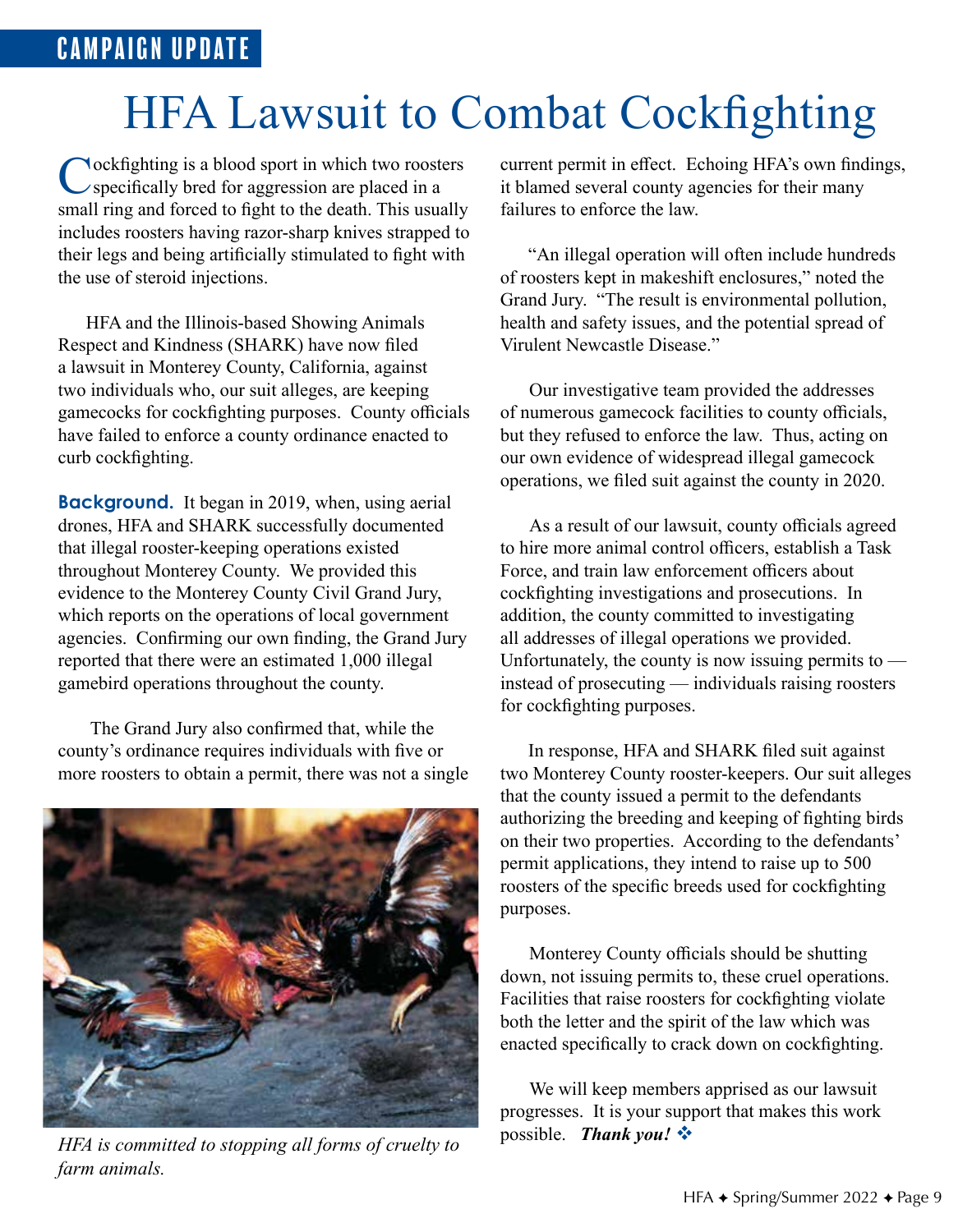# **HFA Lawsuit to Combat Cockfighting**

Cockfighting is a blood sport in which two roosters specifically bred for aggression are placed in a small ring and forced to fight to the death. This usually includes roosters having razor-sharp knives strapped to their legs and being artificially stimulated to fight with the use of steroid injections.

 HFA and the Illinois-based Showing Animals Respect and Kindness (SHARK) have now filed a lawsuit in Monterey County, California, against two individuals who, our suit alleges, are keeping gamecocks for cockfighting purposes. County officials have failed to enforce a county ordinance enacted to curb cockfighting.

**Background.** It began in 2019, when, using aerial drones, HFA and SHARK successfully documented that illegal rooster-keeping operations existed throughout Monterey County. We provided this evidence to the Monterey County Civil Grand Jury, which reports on the operations of local government agencies. Confirming our own finding, the Grand Jury reported that there were an estimated 1,000 illegal gamebird operations throughout the county.

 The Grand Jury also confirmed that, while the county's ordinance requires individuals with five or more roosters to obtain a permit, there was not a single



*HFA is committed to stopping all forms of cruelty to farm animals.*

current permit in effect. Echoing HFA's own findings, it blamed several county agencies for their many failures to enforce the law.

 "An illegal operation will often include hundreds of roosters kept in makeshift enclosures," noted the Grand Jury. "The result is environmental pollution, health and safety issues, and the potential spread of Virulent Newcastle Disease."

Our investigative team provided the addresses of numerous gamecock facilities to county officials, but they refused to enforce the law. Thus, acting on our own evidence of widespread illegal gamecock operations, we filed suit against the county in 2020.

As a result of our lawsuit, county officials agreed to hire more animal control officers, establish a Task Force, and train law enforcement officers about cockfighting investigations and prosecutions. In addition, the county committed to investigating all addresses of illegal operations we provided. Unfortunately, the county is now issuing permits to  $$ instead of prosecuting — individuals raising roosters for cockfighting purposes.

 In response, HFA and SHARK filed suit against two Monterey County rooster-keepers. Our suit alleges that the county issued a permit to the defendants authorizing the breeding and keeping of fighting birds on their two properties. According to the defendants' permit applications, they intend to raise up to 500 roosters of the specific breeds used for cockfighting purposes.

Monterey County officials should be shutting down, not issuing permits to, these cruel operations. Facilities that raise roosters for cockfighting violate both the letter and the spirit of the law which was enacted specifically to crack down on cockfighting.

We will keep members apprised as our lawsuit progresses. It is your support that makes this work possible. *Thank you!* v